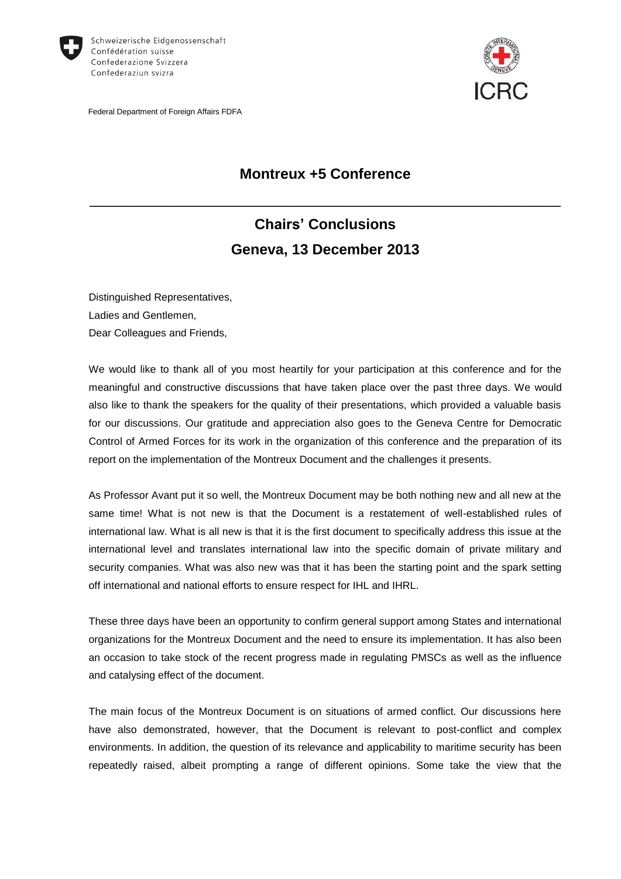

Federal Department of Foreign Affairs FDFA



# **Montreux +5 Conference**

\_\_\_\_\_\_\_\_\_\_\_\_\_\_\_\_\_\_\_\_\_\_\_\_\_\_\_\_\_\_\_\_\_\_\_\_\_\_\_\_\_\_\_\_\_\_\_\_\_\_\_\_\_\_\_\_\_\_

# **Chairs' Conclusions Geneva, 13 December 2013**

Distinguished Representatives, Ladies and Gentlemen, Dear Colleagues and Friends,

We would like to thank all of you most heartily for your participation at this conference and for the meaningful and constructive discussions that have taken place over the past three days. We would also like to thank the speakers for the quality of their presentations, which provided a valuable basis for our discussions. Our gratitude and appreciation also goes to the Geneva Centre for Democratic Control of Armed Forces for its work in the organization of this conference and the preparation of its report on the implementation of the Montreux Document and the challenges it presents.

As Professor Avant put it so well, the Montreux Document may be both nothing new and all new at the same time! What is not new is that the Document is a restatement of well-established rules of international law. What is all new is that it is the first document to specifically address this issue at the international level and translates international law into the specific domain of private military and security companies. What was also new was that it has been the starting point and the spark setting off international and national efforts to ensure respect for IHL and IHRL.

These three days have been an opportunity to confirm general support among States and international organizations for the Montreux Document and the need to ensure its implementation. It has also been an occasion to take stock of the recent progress made in regulating PMSCs as well as the influence and catalysing effect of the document.

The main focus of the Montreux Document is on situations of armed conflict. Our discussions here have also demonstrated, however, that the Document is relevant to post-conflict and complex environments. In addition, the question of its relevance and applicability to maritime security has been repeatedly raised, albeit prompting a range of different opinions. Some take the view that the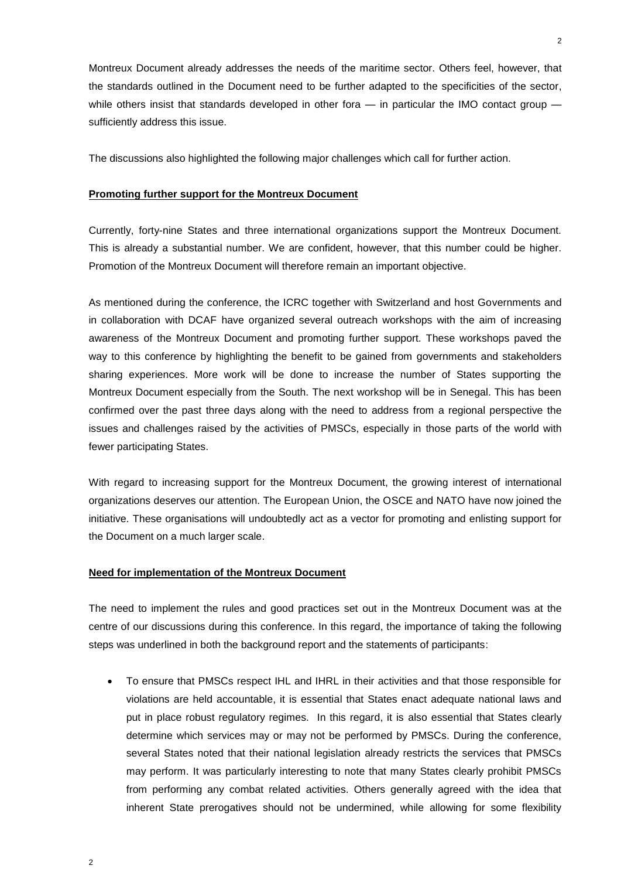Montreux Document already addresses the needs of the maritime sector. Others feel, however, that the standards outlined in the Document need to be further adapted to the specificities of the sector, while others insist that standards developed in other fora — in particular the IMO contact group sufficiently address this issue.

The discussions also highlighted the following major challenges which call for further action.

#### **Promoting further support for the Montreux Document**

Currently, forty-nine States and three international organizations support the Montreux Document. This is already a substantial number. We are confident, however, that this number could be higher. Promotion of the Montreux Document will therefore remain an important objective.

As mentioned during the conference, the ICRC together with Switzerland and host Governments and in collaboration with DCAF have organized several outreach workshops with the aim of increasing awareness of the Montreux Document and promoting further support. These workshops paved the way to this conference by highlighting the benefit to be gained from governments and stakeholders sharing experiences. More work will be done to increase the number of States supporting the Montreux Document especially from the South. The next workshop will be in Senegal. This has been confirmed over the past three days along with the need to address from a regional perspective the issues and challenges raised by the activities of PMSCs, especially in those parts of the world with fewer participating States.

With regard to increasing support for the Montreux Document, the growing interest of international organizations deserves our attention. The European Union, the OSCE and NATO have now joined the initiative. These organisations will undoubtedly act as a vector for promoting and enlisting support for the Document on a much larger scale.

#### **Need for implementation of the Montreux Document**

The need to implement the rules and good practices set out in the Montreux Document was at the centre of our discussions during this conference. In this regard, the importance of taking the following steps was underlined in both the background report and the statements of participants:

 To ensure that PMSCs respect IHL and IHRL in their activities and that those responsible for violations are held accountable, it is essential that States enact adequate national laws and put in place robust regulatory regimes. In this regard, it is also essential that States clearly determine which services may or may not be performed by PMSCs. During the conference, several States noted that their national legislation already restricts the services that PMSCs may perform. It was particularly interesting to note that many States clearly prohibit PMSCs from performing any combat related activities. Others generally agreed with the idea that inherent State prerogatives should not be undermined, while allowing for some flexibility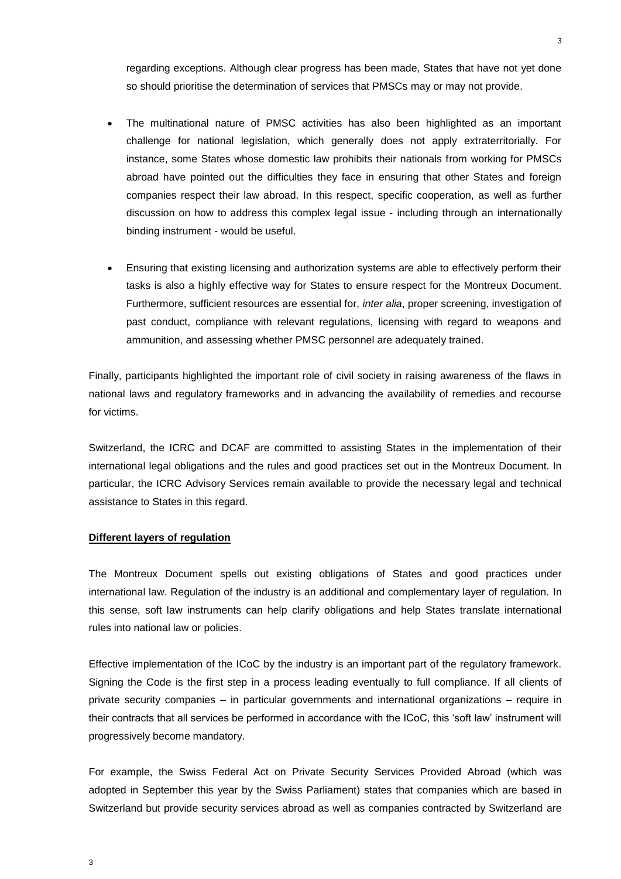regarding exceptions. Although clear progress has been made, States that have not yet done so should prioritise the determination of services that PMSCs may or may not provide.

- The multinational nature of PMSC activities has also been highlighted as an important challenge for national legislation, which generally does not apply extraterritorially. For instance, some States whose domestic law prohibits their nationals from working for PMSCs abroad have pointed out the difficulties they face in ensuring that other States and foreign companies respect their law abroad. In this respect, specific cooperation, as well as further discussion on how to address this complex legal issue - including through an internationally binding instrument - would be useful.
- Ensuring that existing licensing and authorization systems are able to effectively perform their tasks is also a highly effective way for States to ensure respect for the Montreux Document. Furthermore, sufficient resources are essential for, *inter alia*, proper screening, investigation of past conduct, compliance with relevant regulations, licensing with regard to weapons and ammunition, and assessing whether PMSC personnel are adequately trained.

Finally, participants highlighted the important role of civil society in raising awareness of the flaws in national laws and regulatory frameworks and in advancing the availability of remedies and recourse for victims.

Switzerland, the ICRC and DCAF are committed to assisting States in the implementation of their international legal obligations and the rules and good practices set out in the Montreux Document. In particular, the ICRC Advisory Services remain available to provide the necessary legal and technical assistance to States in this regard.

## **Different layers of regulation**

The Montreux Document spells out existing obligations of States and good practices under international law. Regulation of the industry is an additional and complementary layer of regulation. In this sense, soft law instruments can help clarify obligations and help States translate international rules into national law or policies.

Effective implementation of the ICoC by the industry is an important part of the regulatory framework. Signing the Code is the first step in a process leading eventually to full compliance. If all clients of private security companies – in particular governments and international organizations – require in their contracts that all services be performed in accordance with the ICoC, this 'soft law' instrument will progressively become mandatory.

For example, the Swiss Federal Act on Private Security Services Provided Abroad (which was adopted in September this year by the Swiss Parliament) states that companies which are based in Switzerland but provide security services abroad as well as companies contracted by Switzerland are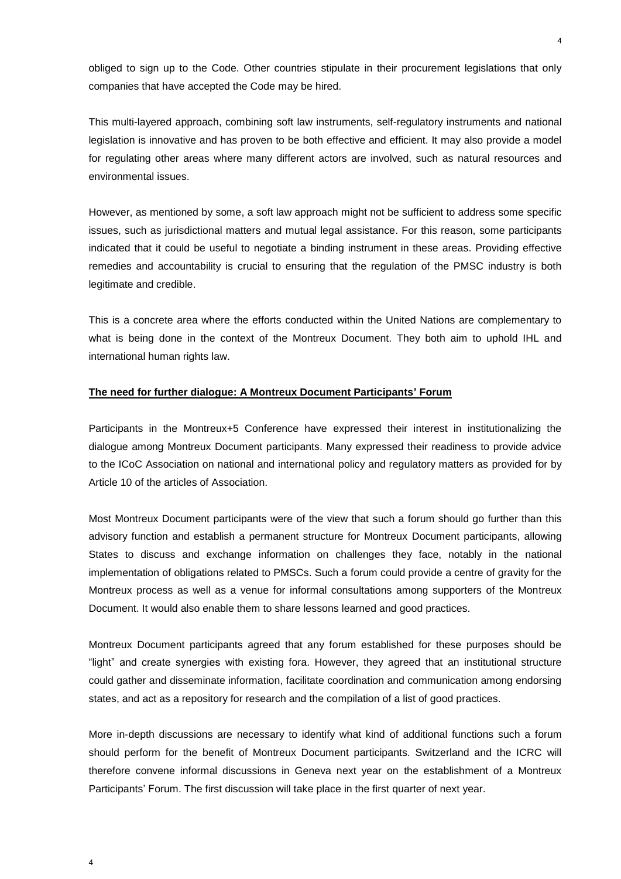obliged to sign up to the Code. Other countries stipulate in their procurement legislations that only companies that have accepted the Code may be hired.

This multi-layered approach, combining soft law instruments, self-regulatory instruments and national legislation is innovative and has proven to be both effective and efficient. It may also provide a model for regulating other areas where many different actors are involved, such as natural resources and environmental issues.

However, as mentioned by some, a soft law approach might not be sufficient to address some specific issues, such as jurisdictional matters and mutual legal assistance. For this reason, some participants indicated that it could be useful to negotiate a binding instrument in these areas. Providing effective remedies and accountability is crucial to ensuring that the regulation of the PMSC industry is both legitimate and credible.

This is a concrete area where the efforts conducted within the United Nations are complementary to what is being done in the context of the Montreux Document. They both aim to uphold IHL and international human rights law.

### **The need for further dialogue: A Montreux Document Participants' Forum**

Participants in the Montreux+5 Conference have expressed their interest in institutionalizing the dialogue among Montreux Document participants. Many expressed their readiness to provide advice to the ICoC Association on national and international policy and regulatory matters as provided for by Article 10 of the articles of Association.

Most Montreux Document participants were of the view that such a forum should go further than this advisory function and establish a permanent structure for Montreux Document participants, allowing States to discuss and exchange information on challenges they face, notably in the national implementation of obligations related to PMSCs. Such a forum could provide a centre of gravity for the Montreux process as well as a venue for informal consultations among supporters of the Montreux Document. It would also enable them to share lessons learned and good practices.

Montreux Document participants agreed that any forum established for these purposes should be "light" and create synergies with existing fora. However, they agreed that an institutional structure could gather and disseminate information, facilitate coordination and communication among endorsing states, and act as a repository for research and the compilation of a list of good practices.

More in-depth discussions are necessary to identify what kind of additional functions such a forum should perform for the benefit of Montreux Document participants. Switzerland and the ICRC will therefore convene informal discussions in Geneva next year on the establishment of a Montreux Participants' Forum. The first discussion will take place in the first quarter of next year.